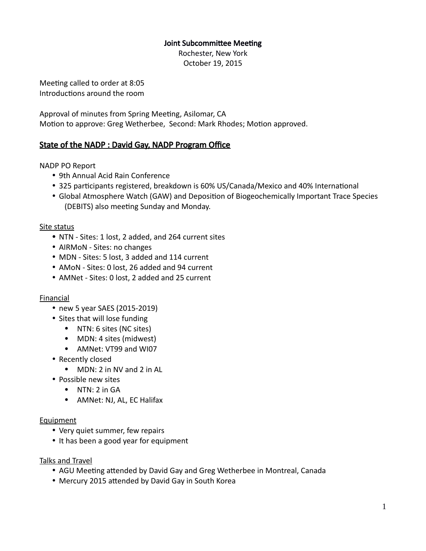## Joint Subcommittee Meeting

Rochester, New York October 19, 2015

Meeting called to order at 8:05 Introductions around the room

Approval of minutes from Spring Meeting, Asilomar, CA Motion to approve: Greg Wetherbee, Second: Mark Rhodes; Motion approved.

# State of the NADP : David Gay, NADP Program Office

NADP PO Report

- 9th Annual Acid Rain Conference
- 325 participants registered, breakdown is 60% US/Canada/Mexico and 40% International
- Global Atmosphere Watch (GAW) and Deposition of Biogeochemically Important Trace Species (DEBITS) also meeting Sunday and Monday.

## Site status

- NTN Sites: 1 lost, 2 added, and 264 current sites
- AIRMoN Sites: no changes
- MDN Sites: 5 lost, 3 added and 114 current
- AMoN Sites: 0 lost, 26 added and 94 current
- AMNet Sites: 0 lost, 2 added and 25 current

## **Financial**

- new 5 year SAES (2015-2019)
- Sites that will lose funding
	- NTN: 6 sites (NC sites)
	- MDN: 4 sites (midwest)
	- AMNet: VT99 and WI07
- Recently closed
	- MDN: 2 in NV and 2 in AL
- Possible new sites
	- $\bullet$  NTN: 2 in GA
	- AMNet: NJ, AL, EC Halifax

#### Equipment

- Very quiet summer, few repairs
- It has been a good year for equipment

Talks and Travel

- AGU Meeting attended by David Gay and Greg Wetherbee in Montreal, Canada
- Mercury 2015 attended by David Gay in South Korea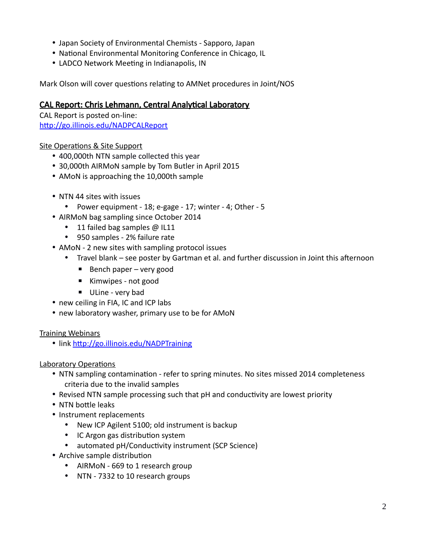- Japan Society of Environmental Chemists Sapporo, Japan
- National Environmental Monitoring Conference in Chicago, IL
- LADCO Network Meeting in Indianapolis, IN

Mark Olson will cover questions relating to AMNet procedures in Joint/NOS

# CAL Report: Chris Lehmann, Central Analytical Laboratory

CAL Report is posted on-line: <http://go.illinois.edu/NADPCALReport>

## Site Operations & Site Support

- 400,000th NTN sample collected this year
- 30,000th AIRMoN sample by Tom Butler in April 2015
- AMoN is approaching the 10,000th sample
- NTN 44 sites with issues
	- Power equipment 18; e-gage 17; winter 4; Other 5
- AIRMoN bag sampling since October 2014
	- 11 failed bag samples @ IL11
	- 950 samples 2% failure rate
- AMoN 2 new sites with sampling protocol issues
	- Travel blank see poster by Gartman et al. and further discussion in Joint this afternoon
		- $\blacksquare$  Bench paper very good
		- Kimwipes not good
		- **■** ULine very bad
- new ceiling in FIA, IC and ICP labs
- new laboratory washer, primary use to be for AMoN

## Training Webinars

• link<http://go.illinois.edu/NADPTraining>

## Laboratory Operations

- NTN sampling contamination refer to spring minutes. No sites missed 2014 completeness criteria due to the invalid samples
- Revised NTN sample processing such that pH and conductivity are lowest priority
- NTN bottle leaks
- Instrument replacements
	- New ICP Agilent 5100; old instrument is backup
	- IC Argon gas distribution system
	- automated pH/Conductivity instrument (SCP Science)
- Archive sample distribution
	- AIRMoN 669 to 1 research group
	- NTN 7332 to 10 research groups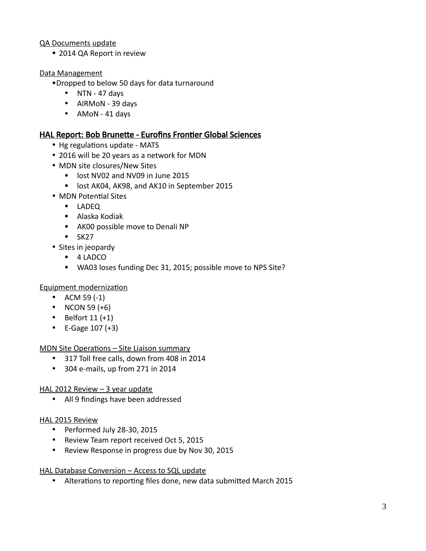## QA Documents update

2014 QA Report in review

## Data Management

- Dropped to below 50 days for data turnaround
	- $\bullet$  NTN 47 days
	- AIRMoN 39 days
	- AMoN 41 days

## HAL Report: Bob Brunette - Eurofins Frontier Global Sciences

- Hg regulations update MATS
- 2016 will be 20 years as a network for MDN
- MDN site closures/New Sites
	- lost NV02 and NV09 in June 2015
	- lost AK04, AK98, and AK10 in September 2015
- MDN Potential Sites
	- LADEQ
	- Alaska Kodiak
	- AK00 possible move to Denali NP
	- $-SK27$
- Sites in jeopardy
	- 4 LADCO
	- WA03 loses funding Dec 31, 2015; possible move to NPS Site?

#### Equipment modernization

- ACM 59 $(-1)$
- NCON 59  $(+6)$
- $\bullet$  Belfort 11 (+1)
- E-Gage  $107 (+3)$

#### MDN Site Operations – Site Liaison summary

- 317 Toll free calls, down from 408 in 2014
- 304 e-mails, up from 271 in 2014

#### HAL 2012 Review - 3 year update

All 9 findings have been addressed

#### HAL 2015 Review

- Performed July 28-30, 2015
- Review Team report received Oct 5, 2015
- Review Response in progress due by Nov 30, 2015

#### HAL Database Conversion – Access to SQL update

Alterations to reporting files done, new data submitted March 2015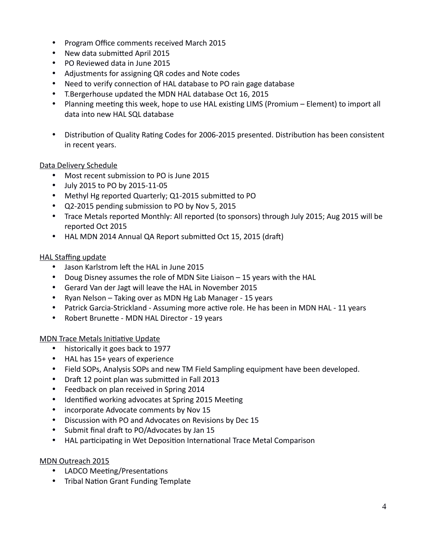- Program Office comments received March 2015
- New data submitted April 2015
- PO Reviewed data in June 2015
- Adjustments for assigning QR codes and Note codes
- Need to verify connection of HAL database to PO rain gage database
- T.Bergerhouse updated the MDN HAL database Oct 16, 2015
- Planning meeting this week, hope to use HAL existing LIMS (Promium Element) to import all data into new HAL SQL database
- Distribution of Quality Rating Codes for 2006-2015 presented. Distribution has been consistent in recent years.

## Data Delivery Schedule

- Most recent submission to PO is June 2015
- July 2015 to PO by 2015-11-05
- Methyl Hg reported Quarterly; Q1-2015 submitted to PO
- Q2-2015 pending submission to PO by Nov 5, 2015
- Trace Metals reported Monthly: All reported (to sponsors) through July 2015; Aug 2015 will be reported Oct 2015
- HAL MDN 2014 Annual QA Report submitted Oct 15, 2015 (draft)

## HAL Staffing update

- Jason Karlstrom left the HAL in June 2015
- Doug Disney assumes the role of MDN Site Liaison 15 years with the HAL
- Gerard Van der Jagt will leave the HAL in November 2015
- Ryan Nelson Taking over as MDN Hg Lab Manager 15 years
- Patrick Garcia-Strickland Assuming more active role. He has been in MDN HAL 11 years
- Robert Brunette MDN HAL Director 19 years

MDN Trace Metals Initiative Update

- historically it goes back to 1977
- HAL has 15+ years of experience
- Field SOPs, Analysis SOPs and new TM Field Sampling equipment have been developed.
- Draft 12 point plan was submitted in Fall 2013
- Feedback on plan received in Spring 2014
- Identified working advocates at Spring 2015 Meeting
- incorporate Advocate comments by Nov 15
- Discussion with PO and Advocates on Revisions by Dec 15
- Submit final draft to PO/Advocates by Jan 15
- HAL participating in Wet Deposition International Trace Metal Comparison

## MDN Outreach 2015

- LADCO Meeting/Presentations
- Tribal Nation Grant Funding Template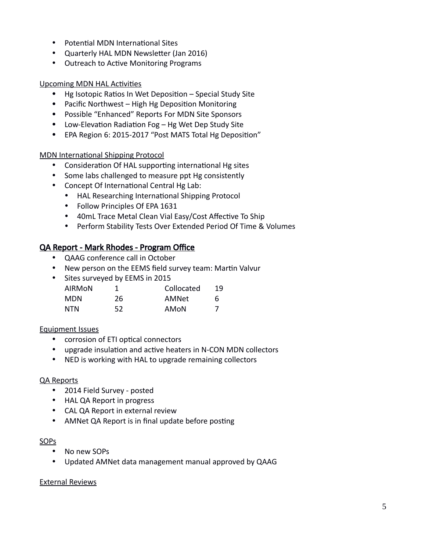- Potential MDN International Sites
- Quarterly HAL MDN Newsletter (Jan 2016)
- Outreach to Active Monitoring Programs

## Upcoming MDN HAL Activities

- Hg Isotopic Ratios In Wet Deposition Special Study Site
- Pacific Northwest High Hg Deposition Monitoring
- Possible "Enhanced" Reports For MDN Site Sponsors
- Low-Elevation Radiation Fog Hg Wet Dep Study Site
- EPA Region 6: 2015-2017 "Post MATS Total Hg Deposition"

#### MDN International Shipping Protocol

- Consideration Of HAL supporting international Hg sites
- Some labs challenged to measure ppt Hg consistently
- Concept Of International Central Hg Lab:
	- HAL Researching International Shipping Protocol
	- Follow Principles Of EPA 1631
	- 40mL Trace Metal Clean Vial Easy/Cost Affective To Ship
	- Perform Stability Tests Over Extended Period Of Time & Volumes

## QA Report - Mark Rhodes - Program Office

- QAAG conference call in October
- New person on the EEMS field survey team: Martin Valvur
- Sites surveyed by EEMS in 2015

| AIRMON     |    | Collocated | 19 |
|------------|----|------------|----|
| MDN.       | 26 | AMNet      | h  |
| <b>NTN</b> | 52 | AMoN       |    |

#### Equipment Issues

- corrosion of ETI optical connectors
- upgrade insulation and active heaters in N-CON MDN collectors
- NED is working with HAL to upgrade remaining collectors

#### QA Reports

- 2014 Field Survey posted
- HAL QA Report in progress
- CAL QA Report in external review
- AMNet QA Report is in final update before posting

#### SOPs

- No new SOPs
- Updated AMNet data management manual approved by QAAG

#### External Reviews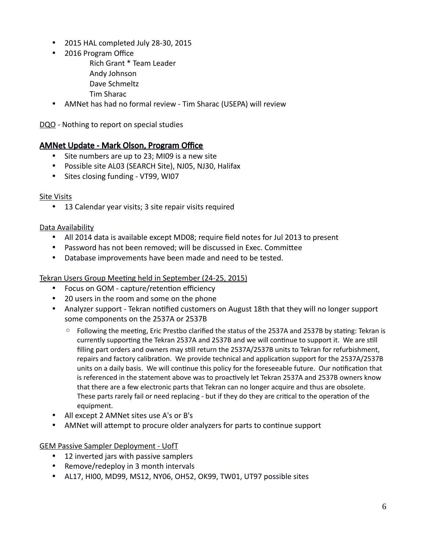- 2015 HAL completed July 28-30, 2015
- 2016 Program Office
	- Rich Grant \* Team Leader
	- Andy Johnson
	- Dave Schmeltz
	- Tim Sharac
- AMNet has had no formal review Tim Sharac (USEPA) will review

DQO - Nothing to report on special studies

# AMNet Update - Mark Olson, Program Office

- Site numbers are up to 23; MI09 is a new site
- Possible site AL03 (SEARCH Site), NJ05, NJ30, Halifax
- Sites closing funding VT99, WI07

## Site Visits

13 Calendar year visits; 3 site repair visits required

## Data Availability

- All 2014 data is available except MD08; require field notes for Jul 2013 to present
- Password has not been removed; will be discussed in Exec. Committee
- Database improvements have been made and need to be tested.

Tekran Users Group Meeting held in September (24-25, 2015)

- Focus on GOM capture/retention efficiency
- 20 users in the room and some on the phone
- Analyzer support Tekran notified customers on August 18th that they will no longer support some components on the 2537A or 2537B
	- Following the meeting, Eric Prestbo clarified the status of the 2537A and 2537B by stating: Tekran is currently supporting the Tekran 2537A and 2537B and we will continue to support it. We are still filling part orders and owners may still return the 2537A/2537B units to Tekran for refurbishment, repairs and factory calibration. We provide technical and application support for the 2537A/2537B units on a daily basis. We will continue this policy for the foreseeable future. Our notification that is referenced in the statement above was to proactively let Tekran 2537A and 2537B owners know that there are a few electronic parts that Tekran can no longer acquire and thus are obsolete. These parts rarely fail or need replacing - but if they do they are critical to the operation of the equipment.
- All except 2 AMNet sites use A's or B's
- AMNet will attempt to procure older analyzers for parts to continue support

GEM Passive Sampler Deployment - UofT

- 12 inverted jars with passive samplers
- Remove/redeploy in 3 month intervals
- AL17, HI00, MD99, MS12, NY06, OH52, OK99, TW01, UT97 possible sites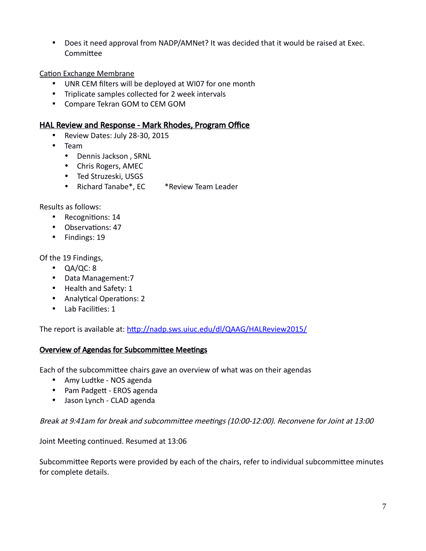Does it need approval from NADP/AMNet? It was decided that it would be raised at Exec. Committee

#### Cation Exchange Membrane

- UNR CEM filters will be deployed at WI07 for one month
- Triplicate samples collected for 2 week intervals
- Compare Tekran GOM to CEM GOM

## HAL Review and Response - Mark Rhodes, Program Office

- Review Dates: July 28-30, 2015
- Team
	- Dennis Jackson , SRNL
	- Chris Rogers, AMEC
	- Ted Struzeski, USGS
	- Richard Tanabe\*, EC \*Review Team Leader

Results as follows:

- Recognitions: 14
- Observations: 47
- Findings: 19

Of the 19 Findings,

- $\bullet$  QA/QC: 8
- Data Management:7
- Health and Safety: 1
- Analytical Operations: 2
- Lab Facilities: 1

The report is available at:<http://nadp.sws.uiuc.edu/dl/QAAG/HALReview2015/>

#### Overview of Agendas for Subcommittee Meetings

Each of the subcommittee chairs gave an overview of what was on their agendas

- Amy Ludtke NOS agenda
- Pam Padgett EROS agenda
- Jason Lynch CLAD agenda

Break at 9:41am for break and subcommittee meetings (10:00-12:00). Reconvene for Joint at 13:00

Joint Meeting continued. Resumed at 13:06

Subcommittee Reports were provided by each of the chairs, refer to individual subcommittee minutes for complete details.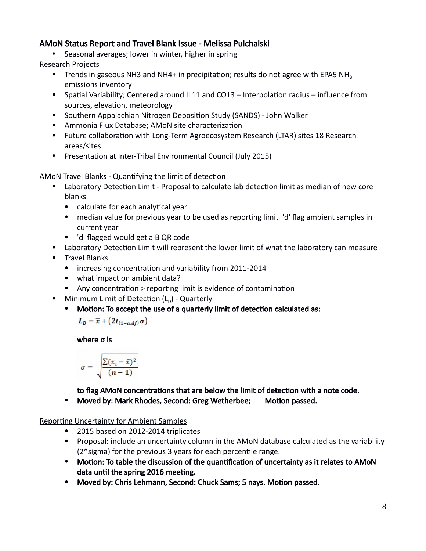# AMoN Status Report and Travel Blank Issue - Melissa Pulchalski

• Seasonal averages; lower in winter, higher in spring

Research Projects

- Trends in gaseous NH3 and NH4+ in precipitation; results do not agree with EPA5 NH<sub>3</sub> emissions inventory
- Spatial Variability; Centered around IL11 and CO13 Interpolation radius influence from sources, elevation, meteorology
- Southern Appalachian Nitrogen Deposition Study (SANDS) John Walker
- Ammonia Flux Database; AMoN site characterization
- Future collaboration with Long-Term Agroecosystem Research (LTAR) sites 18 Research areas/sites
- Presentation at Inter-Tribal Environmental Council (July 2015)

AMoN Travel Blanks - Quantifying the limit of detection

- Laboratory Detection Limit Proposal to calculate lab detection limit as median of new core blanks
	- calculate for each analytical year
	- median value for previous year to be used as reporting limit 'd' flag ambient samples in current year
	- 'd' flagged would get a B QR code
- Laboratory Detection Limit will represent the lower limit of what the laboratory can measure
- Travel Blanks
	- increasing concentration and variability from 2011-2014
	- what impact on ambient data?
	- Any concentration > reporting limit is evidence of contamination
- Minimum Limit of Detection  $(L_{\text{D}})$  Quarterly
	- Motion: To accept the use of a quarterly limit of detection calculated as:

$$
L_D = \overline{x} + \left(2t_{(1-\alpha,df)}\,\sigma\right)
$$

where σ is

$$
\sigma = \sqrt{\frac{\sum (x_i - \bar{x})^2}{(n-1)}}
$$

to flag AMoN concentrations that are below the limit of detection with a note code.

• Moved by: Mark Rhodes, Second: Greg Wetherbee; Motion passed.

## Reporting Uncertainty for Ambient Samples

- 2015 based on 2012-2014 triplicates
- Proposal: include an uncertainty column in the AMoN database calculated as the variability (2\*sigma) for the previous 3 years for each percentile range.
- Motion: To table the discussion of the quantification of uncertainty as it relates to AMoN data until the spring 2016 meeting.
- Moved by: Chris Lehmann, Second: Chuck Sams; 5 nays. Motion passed.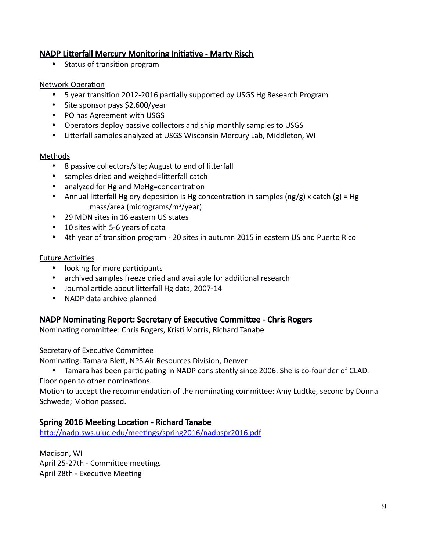# NADP Litterfall Mercury Monitoring Initiative - Marty Risch

• Status of transition program

## Network Operation

- 5 year transition 2012-2016 partially supported by USGS Hg Research Program
- Site sponsor pays \$2,600/year
- PO has Agreement with USGS
- Operators deploy passive collectors and ship monthly samples to USGS
- Litterfall samples analyzed at USGS Wisconsin Mercury Lab, Middleton, WI

#### Methods

- 8 passive collectors/site; August to end of litterfall
- samples dried and weighed=litterfall catch
- analyzed for Hg and MeHg=concentration
- Annual litterfall Hg dry deposition is Hg concentration in samples (ng/g) x catch (g) = Hg mass/area (micrograms/m<sup>2</sup>/year)
- 29 MDN sites in 16 eastern US states
- 10 sites with 5-6 years of data
- 4th year of transition program 20 sites in autumn 2015 in eastern US and Puerto Rico

#### Future Activities

- looking for more participants
- archived samples freeze dried and available for additional research
- Journal article about litterfall Hg data, 2007-14
- NADP data archive planned

## NADP Nominating Report: Secretary of Executive Committee - Chris Rogers

Nominating committee: Chris Rogers, Kristi Morris, Richard Tanabe

Secretary of Executive Committee

Nominating: Tamara Blett, NPS Air Resources Division, Denver

 Tamara has been participating in NADP consistently since 2006. She is co-founder of CLAD. Floor open to other nominations.

Motion to accept the recommendation of the nominating committee: Amy Ludtke, second by Donna Schwede; Motion passed.

## Spring 2016 Meeting Location - Richard Tanabe

<http://nadp.sws.uiuc.edu/meetings/spring2016/nadpspr2016.pdf>

Madison, WI April 25-27th - Committee meetings April 28th - Executive Meeting